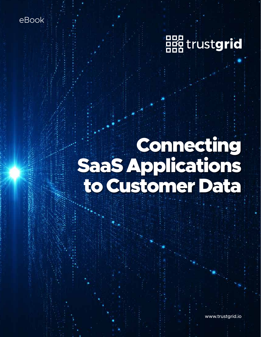eBook



# Connecting SaaS Applications to Customer Data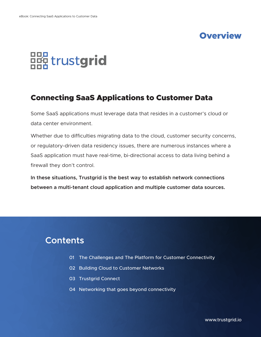# **Overview**



## Connecting SaaS Applications to Customer Data

Some SaaS applications must leverage data that resides in a customer's cloud or data center environment.

Whether due to difficulties migrating data to the cloud, customer security concerns, or regulatory-driven data residency issues, there are numerous instances where a SaaS application must have real-time, bi-directional access to data living behind a firewall they don't control.

**In these situations, Trustgrid is the best way to establish network connections between a multi-tenant cloud application and multiple customer data sources.**

# **Contents**

- 01 The Challenges and The Platform for Customer Connectivity
- 02 Building Cloud to Customer Networks
- 03 Trustgrid Connect
- 04 Networking that goes beyond connectivity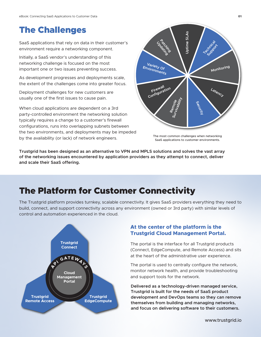# The Challenges

SaaS applications that rely on data in their customer's environment require a networking component.

Initially, a SaaS vendor's understanding of this networking challenge is focused on the most important one or two issues preventing success.

As development progresses and deployments scale, the extent of the challenges come into greater focus.

Deployment challenges for new customers are usually one of the first issues to cause pain.

When cloud applications are dependent on a 3rd party-controlled environment the networking solution typically requires a change to a customer's firewall configurations, runs into overlapping subnets between the two environments, and deployments may be impeded by the availability (or lack) of network engineers.



The most common challenges when networking SaaS applications to customer environments.

**Trustgrid has been designed as an alternative to VPN and MPLS solutions and solves the vast array of the networking issues encountered by application providers as they attempt to connect, deliver and scale their SaaS offering.**

# The Platform for Customer Connectivity

The Trustgrid platform provides turnkey, scalable connectivity. It gives SaaS providers everything they need to build, connect, and support connectivity across any environment (owned or 3rd party) with similar levels of control and automation experienced in the cloud.



#### **At the center of the platform is the Trustgrid Cloud Management Portal.**

The portal is the interface for all Trustgrid products (Connect, EdgeCompute, and Remote Access) and sits at the heart of the administrative user experience.

The portal is used to centrally configure the network, monitor network health, and provide troubleshooting and support tools for the network.

**Delivered as a technology-driven managed service, Trustgrid is built for the needs of SaaS product development and DevOps teams so they can remove themselves from building and managing networks, and focus on delivering software to their customers.**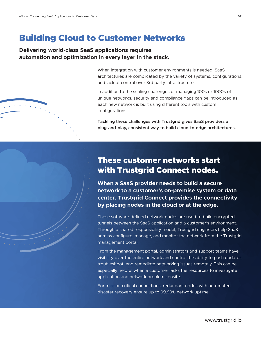## Building Cloud to Customer Networks

#### **Delivering world-class SaaS applications requires automation and optimization in every layer in the stack.**

When integration with customer environments is needed, SaaS architectures are complicated by the variety of systems, configurations, and lack of control over 3rd party infrastructure.

In addition to the scaling challenges of managing 100s or 1000s of unique networks, security and compliance gaps can be introduced as each new network is built using different tools with custom configurations.

**Tackling these challenges with Trustgrid gives SaaS providers a plug-and-play, consistent way to build cloud-to-edge architectures.**

## These customer networks start with Trustgrid Connect nodes.

**When a SaaS provider needs to build a secure network to a customer's on-premise system or data center, Trustgrid Connect provides the connectivity by placing nodes in the cloud or at the edge.**

These software-defined network nodes are used to build encrypted tunnels between the SaaS application and a customer's environment. Through a shared responsibility model, Trustgrid engineers help SaaS admins configure, manage, and monitor the network from the Trustgrid management portal.

From the management portal, administrators and support teams have visibility over the entire network and control the ability to push updates, troubleshoot, and remediate networking issues remotely. This can be especially helpful when a customer lacks the resources to investigate application and network problems onsite.

For mission critical connections, redundant nodes with automated disaster recovery ensure up to 99.99% network uptime.

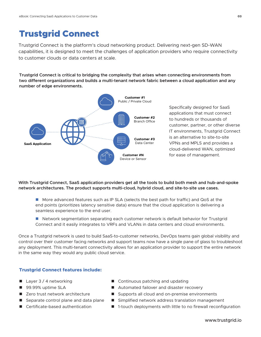# Trustgrid Connect

Trustgrid Connect is the platform's cloud networking product. Delivering next-gen SD-WAN capabilities, it is designed to meet the challenges of application providers who require connectivity to customer clouds or data centers at scale.

**Trustgrid Connect is critical to bridging the complexity that arises when connecting environments from two different organizations and builds a multi-tenant network fabric between a cloud application and any number of edge environments.**



Specifically designed for SaaS applications that must connect to hundreds or thousands of customer, partner, or other diverse IT environments, Trustgrid Connect is an alternative to site-to-site VPNs and MPLS and provides a cloud-delivered WAN, optimized for ease of management.

**With Trustgrid Connect, SaaS application providers get all the tools to build both mesh and hub-and-spoke network architectures. The product supports multi-cloud, hybrid cloud, and site-to-site use cases.**

- More advanced features such as IP SLA (selects the best path for traffic) and QoS at the end points (prioritizes latency sensitive data) ensure that the cloud application is delivering a seamless experience to the end user.
- Network segmentation separating each customer network is default behavior for Trustgrid Connect and it easily integrates to VRFs and VLANs in data centers and cloud environments.

Once a Trustgrid network is used to build SaaS-to-customer networks, DevOps teams gain global visibility and control over their customer facing networks and support teams now have a single pane of glass to troubleshoot any deployment. This multi-tenant connectivity allows for an application provider to support the entire network in the same way they would any public cloud service.

#### **Trustgrid Connect features include:**

- $\blacksquare$  Layer 3 / 4 networking
- 99.99% uptime SLA
- Zero trust network architecture
- Separate control plane and data plane
- Certificate-based authentication
- Continuous patching and updating
- Automated failover and disaster recovery
- Supports all cloud and on-premise environments
- Simplified network address translation management
- 1-touch deployments with little to no firewall reconfiguration